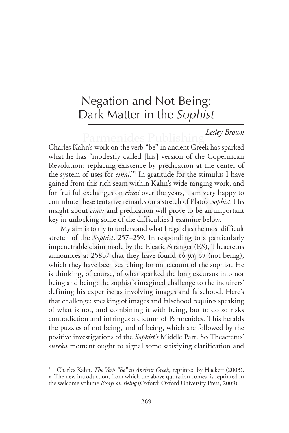## Negation and Not-Being: Dark Matter in the *Sophist*

### *Lesley Brown*

Charles Kahn's work on the verb "be" in ancient Greek has sparked what he has "modestly called [his] version of the Copernican Revolution: replacing existence by predication at the center of the system of uses for *einai*."<sup>1</sup> In gratitude for the stimulus I have gained from this rich seam within Kahn's wide-ranging work, and for fruitful exchanges on *einai* over the years, I am very happy to contribute these tentative remarks on a stretch of Plato's *Sophist*. His insight about *einai* and predication will prove to be an important key in unlocking some of the difficulties I examine below.

My aim is to try to understand what I regard as the most difficult stretch of the *Sophist*, 257–259. In responding to a particularly impenetrable claim made by the Eleatic Stranger (ES), Theaetetus announces at 258b7 that they have found τὸ μὴ ὄν (not being), which they have been searching for on account of the sophist. He is thinking, of course, of what sparked the long excursus into not being and being: the sophist's imagined challenge to the inquirers' defining his expertise as involving images and falsehood. Here's that challenge: speaking of images and falsehood requires speaking of what is not, and combining it with being, but to do so risks contradiction and infringes a dictum of Parmenides. This heralds the puzzles of not being, and of being, which are followed by the positive investigations of the *Sophist's* Middle Part. So Theaetetus' *eureka* moment ought to signal some satisfying clarification and

<sup>1</sup> Charles Kahn, *The Verb "Be" in Ancient Greek*, reprinted by Hackett (2003), x. The new introduction, from which the above quotation comes, is reprinted in the welcome volume *Essays on Being* (Oxford: Oxford University Press, 2009).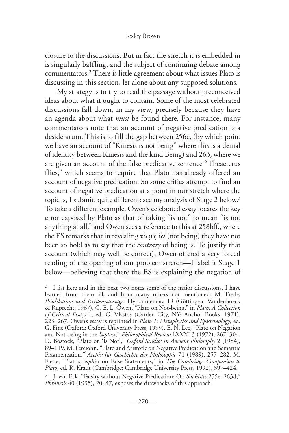closure to the discussions. But in fact the stretch it is embedded in is singularly baffling, and the subject of continuing debate among commentators.2 There is little agreement about what issues Plato is discussing in this section, let alone about any supposed solutions.

Lesley Brown<br>
e discussions. But in fact the stretch it is e<br>
baffling, and the subject of continuing de<br>
rs.<sup>2</sup> There is little agreement about what is<br>
this section, let alone about any supposee<br>
egy is to try to read t My strategy is to try to read the passage without preconceived ideas about what it ought to contain. Some of the most celebrated discussions fall down, in my view, precisely because they have an agenda about what *must* be found there. For instance, many commentators note that an account of negative predication is a desideratum. This is to fill the gap between 256e, (by which point we have an account of "Kinesis is not being" where this is a denial of identity between Kinesis and the kind Being) and 263, where we are given an account of the false predicative sentence "Theaetetus flies," which seems to require that Plato has already offered an account of negative predication. So some critics attempt to find an account of negative predication at a point in our stretch where the topic is, I submit, quite different: see my analysis of Stage 2 below.<sup>3</sup> To take a different example, Owen's celebrated essay locates the key error exposed by Plato as that of taking "is not" to mean "is not anything at all," and Owen sees a reference to this at 258bff., where the ES remarks that in revealing τὸ μὴ ὄν (not being) they have not been so bold as to say that the *contrary* of being is. To justify that account (which may well be correct), Owen offered a very forced reading of the opening of our problem stretch—I label it Stage 1 below—believing that there the ES is explaining the negation of

<sup>&</sup>lt;sup>2</sup> I list here and in the next two notes some of the major discussions. I have learned from them all, and from many others not mentioned: M. Frede, *Prädikation und Existenzaussage*. Hypomnemata 18 (Göttingen: Vandenhoeck & Ruprecht, 1967). G. E. L. Owen, "Plato on Not-being," in *Plato: A Collection of Critical Essays* 1, ed. G. Vlastos (Garden City, NY: Anchor Books, 1971), 223–267. Owen's essay is reprinted in *Plato 1: Metaphysics and Epistemology*, ed. G. Fine (Oxford: Oxford University Press, 1999). E. N. Lee, "Plato on Negation and Not-being in the *Sophist*," *Philosophical Review* LXXXI.3 (1972), 267–304. D. Bostock, "Plato on 'Is Not'," *Oxford Studies in Ancient Philosophy* 2 (1984), 89–119. M. Ferejohn, "Plato and Aristotle on Negative Predication and Semantic Fragmentation," *Archiv für Geschichte der Philosophie* 71 (1989), 257–282. M. Frede, "Plato's *Sophist* on False Statements," in *The Cambridge Companion to*  Plato, ed. R. Kraut (Cambridge: Cambridge University Press, 1992), 397-424. <sup>3</sup> J. van Eck, "Falsity without Negative Predication: On *Sophistes* 255e–263d,"

*Phronesis* 40 (1995), 20–47, exposes the drawbacks of this approach.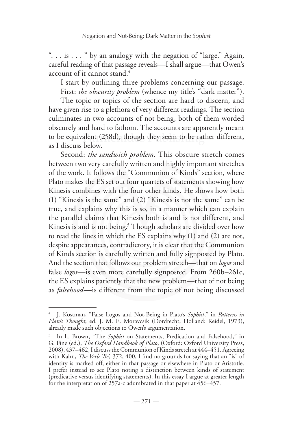". . . is . . . " by an analogy with the negation of "large." Again, careful reading of that passage reveals—I shall argue—that Owen's account of it cannot stand.<sup>4</sup>

I start by outlining three problems concerning our passage. First: *the obscurity problem* (whence my title's "dark matter").

Negation and Not-Being: Dark Matter in the *Sophist*<br>
" by an analogy with the negation of "lar<br>
ling of that passage reveals—I shall argue—t<br>
it cannot stand.<sup>4</sup><br>
by outlining three problems concerning o<br> *he obscurity pr* The topic or topics of the section are hard to discern, and have given rise to a plethora of very different readings. The section culminates in two accounts of not being, both of them worded obscurely and hard to fathom. The accounts are apparently meant to be equivalent (258d), though they seem to be rather different, as I discuss below.

Second: *the sandwich problem*. This obscure stretch comes between two very carefully written and highly important stretches of the work. It follows the "Communion of Kinds" section, where Plato makes the ES set out four quartets of statements showing how Kinesis combines with the four other kinds. He shows how both (1) "Kinesis is the same" and (2) "Kinesis is not the same" can be true, and explains why this is so, in a manner which can explain the parallel claims that Kinesis both is and is not different, and Kinesis is and is not being.<sup>5</sup> Though scholars are divided over how to read the lines in which the ES explains why (1) and (2) are not, despite appearances, contradictory, it is clear that the Communion of Kinds section is carefully written and fully signposted by Plato. And the section that follows our problem stretch—that on *logos* and false *logos*—is even more carefully signposted. From 260b–261c, the ES explains patiently that the new problem—that of not being as *falsehood—*is different from the topic of not being discussed

<sup>4</sup> J. Kostman, "False Logos and Not-Being in Plato's *Sophist*," in *Patterns in Plato's Thought*, ed. J. M. E. Moravcsik (Dordrecht, Holland: Reidel, 1973), already made such objections to Owen's argumentation.

<sup>5</sup> In L. Brown, "The *Sophist* on Statements, Predication and Falsehood," in G. Fine (ed.), *The Oxford Handbook of Plato*, (Oxford: Oxford University Press, 2008), 437–462,I discuss the Communion of Kinds stretch at 444–451. Agreeing with Kahn, *The Verb 'Be',* 372, 400, I find no grounds for saying that an "is" of identity is marked off, either in that passage or elsewhere in Plato or Aristotle. I prefer instead to see Plato noting a distinction between kinds of statement (predicative versus identifying statements). In this essay I argue at greater length for the interpretation of 257a-c adumbrated in that paper at  $456-\overline{4}57$ .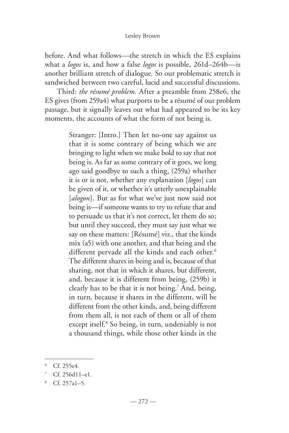before. And what follows—the stretch in which the ES explains what a *logos* is, and how a false *logos* is possible, 261d–264b—is another brilliant stretch of dialogue. So our problematic stretch is sandwiched between two careful, lucid and successful discussions.

Lesley Brown<br>what follows—the stretch in which the<br>is, and how a false *logos* is possible, 261<br>iant stretch of dialogue. So our problema<br>between two careful, lucid and successful<br>*he résumé problem*. After a preamble from Third: *the résumé problem*. After a preamble from 258e6, the ES gives (from 259a4) what purports to be a résumé of our problem passage, but it signally leaves out what had appeared to be its key moments, the accounts of what the form of not being is.

Stranger: [Intro.] Then let no-one say against us that it is some contrary of being which we are bringing to light when we make bold to say that not being is. As far as some contrary of it goes, we long ago said goodbye to such a thing, (259a) whether it is or is not, whether any explanation [*logos*] can be given of it, or whether it's utterly unexplainable [alogon]. But as for what we've just now said not being is—if someone wants to try to refute that and to persuade us that it's not correct, let them do so; but until they succeed, they must say just what we say on these matters: [Résumé] viz., that the kinds mix (a5) with one another, and that being and the different pervade all the kinds and each other.<sup>6</sup> The different shares in being and is, because of that sharing, not that in which it shares, but different, and, because it is different from being, (259b) it clearly has to be that it is not being.<sup>7</sup> And, being, in turn, because it shares in the different, will be different from the other kinds, and, being different from them all, is not each of them or all of them except itself.<sup>8</sup> So being, in turn, undeniably is not a thousand things, while those other kinds in the

<sup>6</sup> Cf. 255e4.

<sup>7</sup> Cf. 256d11–e1.

Cf. 257a1-5.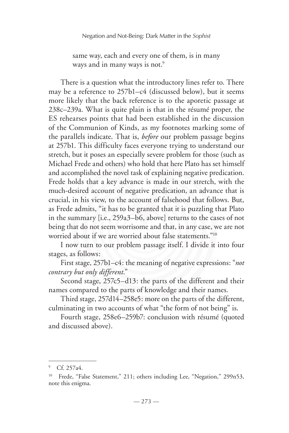same way, each and every one of them, is in many ways and in many ways is not.<sup>9</sup>

Negation and Not-Being: Dark Matter in the *Sophist*<br>ne way, each and every one of them, is in ma<br>ys and in many ways is not.<sup>9</sup><br>s a question what the introductory lines refe<br>eference to 257b1–c4 (discussed below), b<br>r tha There is a question what the introductory lines refer to. There may be a reference to 257b1–c4 (discussed below), but it seems more likely that the back reference is to the aporetic passage at 238c–239a. What is quite plain is that in the résumé proper, the ES rehearses points that had been established in the discussion of the Communion of Kinds, as my footnotes marking some of the parallels indicate. That is, *before* our problem passage begins at 257b1. This difficulty faces everyone trying to understand our stretch, but it poses an especially severe problem for those (such as Michael Frede and others) who hold that here Plato has set himself and accomplished the novel task of explaining negative predication. Frede holds that a key advance is made in our stretch, with the much-desired account of negative predication, an advance that is crucial, in his view, to the account of falsehood that follows. But, as Frede admits, "it has to be granted that it is puzzling that Plato in the summary [i.e., 259a3–b6, above] returns to the cases of not being that do not seem worrisome and that, in any case, we are not worried about if we are worried about false statements."10

I now turn to our problem passage itself. I divide it into four stages, as follows:

First stage, 257b1–c4: the meaning of negative expressions: "*not contrary but only different*."

Second stage, 257c5–d13: the parts of the different and their names compared to the parts of knowledge and their names.

Third stage, 257d14–258e5: more on the parts of the different, culminating in two accounts of what "the form of not being" is.

Fourth stage, 258e6–259b7: conclusion with résumé (quoted and discussed above).

Cf. 257a4.

<sup>&</sup>lt;sup>10</sup> Frede, "False Statement," 211; others including Lee, "Negation," 299n53, note this enigma.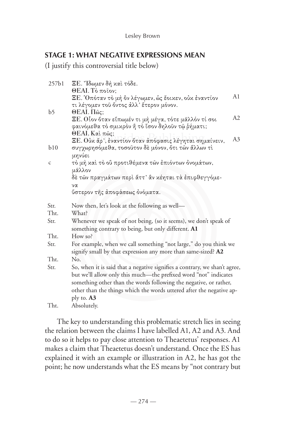### **STAGE 1: WHAT NEGATIVE EXPRESSIONS MEAN**

| Lesley Brown                            |                                                                                                                                                                                                                                                                                                           |    |  |
|-----------------------------------------|-----------------------------------------------------------------------------------------------------------------------------------------------------------------------------------------------------------------------------------------------------------------------------------------------------------|----|--|
| STAGE 1: WHAT NEGATIVE EXPRESSIONS MEAN |                                                                                                                                                                                                                                                                                                           |    |  |
|                                         | (I justify this controversial title below)                                                                                                                                                                                                                                                                |    |  |
| 257b1                                   | ΞΕ. "Ιδωμεν δή καὶ τόδε.<br>ΘΕΑΙ. Τὸ ποίον:                                                                                                                                                                                                                                                               |    |  |
|                                         | ΞΕ. Όπόταν τὸ μὴ ὂν λέγωμεν, ὡς ἔοικεν, οὐκ ἐναντίον<br>τι λέγομεν τοῦ ὄντος ἀλλ' ἕτερον μόνον.                                                                                                                                                                                                           | A1 |  |
| b5                                      | $Θ$ EAI. Πῶς;<br>ΞΕ. Οἶον ὅταν εἴπωμέν τι μὴ μέγα, τότε μᾶλλόν τί σοι<br>φαινόμεθα τὸ σμικρὸν ἢ τὸ ἴσον δηλοῦν τῷ ῥήματι;<br>ΘΕΑΙ. Καὶ πῶς;                                                                                                                                                               | A2 |  |
| b10                                     | ΞΕ. Οὐκ ἄρ', ἐναντίον ὅταν ἀπόφασις λέγηται σημαίνειν,<br>συγχωρησόμεθα, τοσούτον δε μόνον, ότι των άλλων τὶ                                                                                                                                                                                              | A3 |  |
| $\mathsf{C}$                            | μηνύει<br>τὸ μὴ καὶ τὸ οὒ προτιθέμενα τῶν ἐπιόντων ὀνομάτων,<br>μάλλον<br>δὲ τῶν πραγμάτων περὶ ἅττ' ἂν κέηται τὰ ἐπιφθεγγόμε-                                                                                                                                                                            |    |  |
|                                         | $v\alpha$<br>ύστερον της άποφάσεως όνόματα.                                                                                                                                                                                                                                                               |    |  |
| Str.<br>Tht.                            | Now then, let's look at the following as well-<br>What?                                                                                                                                                                                                                                                   |    |  |
| Str.                                    | Whenever we speak of not being, (so it seems), we don't speak of<br>something contrary to being, but only different. A1                                                                                                                                                                                   |    |  |
| Tht.                                    | How so?                                                                                                                                                                                                                                                                                                   |    |  |
| Str.                                    | For example, when we call something "not large," do you think we<br>signify small by that expression any more than same-sized? A2                                                                                                                                                                         |    |  |
| Tht.                                    | N <sub>0</sub>                                                                                                                                                                                                                                                                                            |    |  |
| Str.                                    | So, when it is said that a negative signifies a contrary, we shan't agree,<br>but we'll allow only this much-the prefixed word "not" indicates<br>something other than the words following the negative, or rather,<br>other than the things which the words uttered after the negative ap-<br>ply to. A3 |    |  |
| Tht.                                    | Absolutely.                                                                                                                                                                                                                                                                                               |    |  |

The key to understanding this problematic stretch lies in seeing the relation between the claims I have labelled A1, A2 and A3. And to do so it helps to pay close attention to Theaetetus' responses. A1 makes a claim that Theaetetus doesn't understand. Once the ES has explained it with an example or illustration in A2, he has got the point; he now understands what the ES means by "not contrary but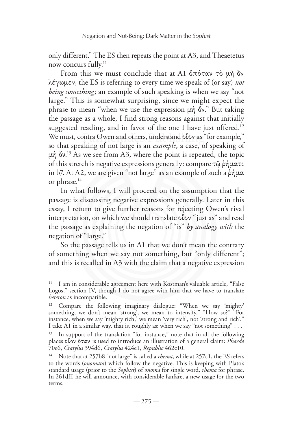only different." The ES then repeats the point at A3, and Theaetetus now concurs fully.<sup>11</sup>

Negation and Not-Being: Dark Matter in the *Sophist*<br>nt." The ES then repeats the point at A3, and<br>rs fully.<sup>11</sup><br>this we must conclude that at A1 όπόταν<br>he ES is referring to every time we speak of<br>*bing*; an example of s From this we must conclude that at A1 ὁπόταν τὸ μὴ ὂν λέγωμεν, the ES is referring to every time we speak of (or say) *not being something*; an example of such speaking is when we say "not large." This is somewhat surprising, since we might expect the phrase to mean "when we use the expression  $\mu$ ή ὄν." But taking the passage as a whole, I find strong reasons against that initially suggested reading, and in favor of the one I have just offered.<sup>12</sup> We must, contra Owen and others, understand οἶον as "for example," so that speaking of not large is an *example*, a case, of speaking of  $\mu$ ή ὄν.<sup>13</sup> As we see from A3, where the point is repeated, the topic of this stretch is negative expressions generally: compare τῷ ῥήματι in b7. At A2, we are given "not large" as an example of such a ῥήμα or phrase.<sup>14</sup>

In what follows, I will proceed on the assumption that the passage is discussing negative expressions generally. Later in this essay, I return to give further reasons for rejecting Owen's rival interpretation, on which we should translate οἷον "just as" and read the passage as explaining the negation of "is" *by analogy with* the negation of "large."

So the passage tells us in A1 that we don't mean the contrary of something when we say not something, but "only different"; and this is recalled in A3 with the claim that a negative expression

<sup>&</sup>lt;sup>11</sup> I am in considerable agreement here with Kostman's valuable article, "False Logos," section IV, though I do not agree with him that we have to translate *heteron* as incompatible.

<sup>12</sup> Compare the following imaginary dialogue: "When we say 'mighty' something, we don't mean 'strong', we mean to intensify." "How so?" "For instance, when we say 'mighty rich,' we mean 'very rich', not 'strong and rich'." I take A1 in a similar way, that is, roughly as: when we say "not something" . . .

<sup>&</sup>lt;sup>13</sup> In support of the translation "for instance," note that in all the following places οἷον ὅταν is used to introduce an illustration of a general claim: *Phaedo* 70e6, *Cratylus* 394d6, *Cratylus* 424e1, *Republic* 462c10.

<sup>&</sup>lt;sup>14</sup> Note that at 257b8 "not large" is called a *rhema*, while at 257c1, the ES refers to the words (*onomata*) which follow the negative. This is keeping with Plato's standard usage (prior to the *Sophist*) of *onoma* for single word, *rhema* for phrase. In 261dff. he will announce, with considerable fanfare, a new usage for the two terms.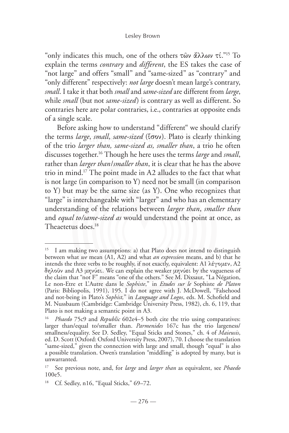Lesley Brown<br>tes this much, one of the others  $\tau$ ων άλλ<br>terms *contrary* and different, the ES takes<br>nd offers "small" and "same-sized" as "cc<br>nt" respectively: *not large* doesn't mean larg<br>t that both *small* and *same* "only indicates this much, one of the others τῶν ἄλλων τί."15 To explain the terms *contrary* and *different*, the ES takes the case of "not large" and offers "small" and "same-sized" as "contrary" and "only different" respectively: *not large* doesn't mean large's contrary, *small*. I take it that both *small* and *same*-*sized* are different from *large*, while *small* (but not *same-sized*) is contrary as well as different. So contraries here are polar contraries, i.e., contraries at opposite ends of a single scale.

Before asking how to understand "different" we should clarify the terms *large*, *small*, *same*-*sized* (ἴσον). Plato is clearly thinking of the trio *larger than, same-sized as, smaller than*, a trio he often discusses together.16 Though he here uses the terms *large* and *small*, rather than *larger than*/*smaller than*, it is clear that he has the above trio in mind.17 The point made in A2 alludes to the fact that what is not large (in comparison to Y) need not be small (in comparison to Y) but may be the same size (as Y). One who recognizes that "large" is interchangeable with "larger" and who has an elementary understanding of the relations between *larger than*, *smaller than* and *equal to/same-sized as* would understand the point at once, as Theaetetus does.<sup>18</sup>

<sup>&</sup>lt;sup>15</sup> I am making two assumptions: a) that Plato does not intend to distinguish between what *we* mean (A1, A2) and what *an expression* means, and b) that he intends the three verbs to be roughly, if not exactly, equivalent: A1 λέγομεν, A2 δηλοῦν and A3 μηνύει. We can explain the weaker μηνύει by the vagueness of the claim that "not F" means "one of the others." See M. Dixsaut, "La Négation, Le non-Etre et L'Autre dans le *Sophiste*," in *Etudes sur le* Sophiste *de Platon* (Paris: Bibliopolis, 1991), 195. I do not agree with J. McDowell, "Falsehood and not-being in Plato's *Sophist,*" in *Language and Logos*, eds. M. Schofield and M. Nussbaum (Cambridge: Cambridge University Press, 1982), ch. 6, 119, that Plato is not making a semantic point in A3.

<sup>16</sup> *Phaedo* 75c9 and *Republic* 602e4–5 both cite the trio using comparatives: larger than/equal to/smaller than. *Parmenides* 167c has the trio largeness/ smallness/equality. See D. Sedley, "Equal Sticks and Stones," ch. 4 of *Maieusis*, ed. D. Scott (Oxford: Oxford University Press, 2007), 70. I choose the translation "same-sized," given the connection with large and small, though "equal" is also a possible translation. Owen's translation "middling" is adopted by many, but is unwarranted.

<sup>17</sup> See previous note, and, for *large* and *larger than* as equivalent, see *Phaedo* 100e5.

<sup>&</sup>lt;sup>18</sup> Cf. Sedley, n16, "Equal Sticks," 69-72.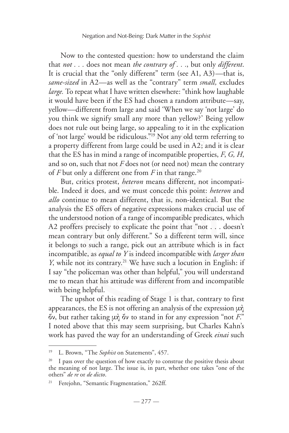Negation and Not-Being: Dark Matter in the *Sophist*<br>
2) the contested question: how to understand<br>
2) the contested question: how to understand<br>
1) that the "only different" term (see A1, A3<br>
in A2—as well as the "contra Now to the contested question: how to understand the claim that *not . . .* does not mean *the contrary of . . .*, but only *different*. It is crucial that the "only different" term (see A1, A3)—that is, *same-sized* in A2—as well as the "contrary" term *small,* excludes *large.* To repeat what I have written elsewhere: "think how laughable it would have been if the ES had chosen a random attribute—say, yellow—different from large and said 'When we say 'not large' do you think we signify small any more than yellow?' Being yellow does not rule out being large, so appealing to it in the explication of 'not large' would be ridiculous."19 Not any old term referring to a property different from large could be used in A2; and it is clear that the ES has in mind a range of incompatible properties, *F*, *G, H*, and so on, such that not *F* does not (or need not) mean the contrary of  $F$  but only a different one from  $F$  in that range.<sup>20</sup>

But, critics protest, *heteron* means different, not incompatible. Indeed it does, and we must concede this point: *heteron* and *allo* continue to mean different, that is, non-identical. But the analysis the ES offers of negative expressions makes crucial use of the understood notion of a range of incompatible predicates, which A2 proffers precisely to explicate the point that "not . . . doesn't mean contrary but only different." So a different term will, since it belongs to such a range, pick out an attribute which is in fact incompatible, as *equal to Y* is indeed incompatible with *larger than Y*, while not its contrary.<sup>21</sup> We have such a locution in English: if I say "the policeman was other than helpful," you will understand me to mean that his attitude was different from and incompatible with being helpful.

The upshot of this reading of Stage 1 is that, contrary to first appearances, the ES is not offering an analysis of the expression  $\mu \dot{\eta}$ ὄν, but rather taking μὴ ὄν to stand in for any expression "not *F*." I noted above that this may seem surprising, but Charles Kahn's work has paved the way for an understanding of Greek *einai* such

<sup>19</sup> L. Brown, "The *Sophist* on Statements", 457.

I pass over the question of how exactly to construe the positive thesis about the meaning of not large. The issue is, in part, whether one takes "one of the others" *de re* or *de dicto*.

<sup>&</sup>lt;sup>21</sup> Ferejohn, "Semantic Fragmentation," 262ff.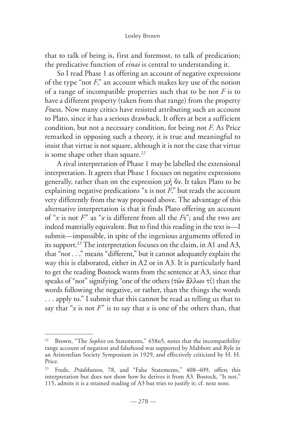that to talk of being is, first and foremost, to talk of predication; the predicative function of *einai* is central to understanding it.

Lesley Brown<br>
of being is, first and foremost, to talk of<br>
ve function of *einai* is central to understa.<br>
Phase 1 as offering an account of negative<br>
not  $F$ ," an account which makes key use c<br>
f incompatible properties So I read Phase 1 as offering an account of negative expressions of the type "not *F*," an account which makes key use of the notion of a range of incompatible properties such that to be not *F* is to have a different property (taken from that range) from the property *F*ness. Now many critics have resisted attributing such an account to Plato, since it has a serious drawback. It offers at best a sufficient condition, but not a necessary condition, for being not *F*. As Price remarked in opposing such a theory, it is true and meaningful to insist that virtue is not square, although it is not the case that virtue is some shape other than square. $^{22}$ 

A rival interpretation of Phase 1 may be labelled the extensional interpretation. It agrees that Phase 1 focuses on negative expressions generally, rather than on the expression μὴ ὄν. It takes Plato to be explaining negative predications "x is not *F*," but reads the account very differently from the way proposed above. The advantage of this alternative interpretation is that it finds Plato offering an account of "*x* is not *F*" as "*x* is different from all the *F*s"; and the two are indeed materially equivalent. But to find this reading in the text is—I submit—impossible, in spite of the ingenious arguments offered in its support.<sup>23</sup> The interpretation focuses on the claim, in A1 and A3, that "not . . ." means "different," but it cannot adequately explain the way this is elaborated, either in A2 or in A3. It is particularly hard to get the reading Bostock wants from the sentence at A3, since that speaks of "not" signifying "one of the others (τῶν ἄλλων τί) than the words following the negative, or rather, than the things the words . . . apply to." I submit that this cannot be read as telling us that to say that " $x$  is not  $F$ " is to say that  $x$  is one of the others than, that

<sup>&</sup>lt;sup>22</sup> Brown, "The *Sophist* on Statements," 458n5, notes that the incompatibility range account of negation and falsehood was supported by Mabbott and Ryle in an Aristotelian Society Symposium in 1929, and effectively criticized by H. H. Price.

Frede, *Prädikation*, 78, and "False Statements," 408-409, offers this interpretation but does not show how he derives it from A3. Bostock, "Is not," 115, admits it is a strained reading of A3 but tries to justify it; cf. next note.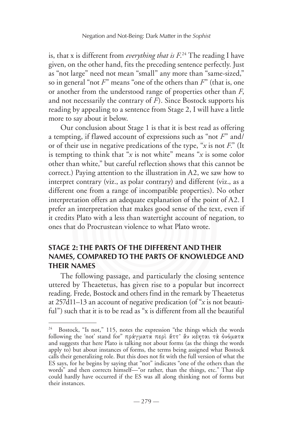Negation and Not-Being: Dark Matter in the *Sophist*<br>different from *everything that is*  $F^{24}$ . The rea<br>ne other hand, fits the preceding sentence pe<br>e" need not mean "small" any more than "s<br>il "not  $F$ " means "one of is, that x is different from *everything that is F*. 24 The reading I have given, on the other hand, fits the preceding sentence perfectly. Just as "not large" need not mean "small" any more than "same-sized," so in general "not *F*" means "one of the others than *F*" (that is, one or another from the understood range of properties other than *F*, and not necessarily the contrary of *F*). Since Bostock supports his reading by appealing to a sentence from Stage 2, I will have a little more to say about it below.

Our conclusion about Stage 1 is that it is best read as offering a tempting, if flawed account of expressions such as "not *F*" and/ or of their use in negative predications of the type, "*x* is not *F*." (It is tempting to think that "*x* is not white" means "*x* is some color other than white," but careful reflection shows that this cannot be correct.) Paying attention to the illustration in A2, we saw how to interpret contrary (viz., as polar contrary) and different (viz., as a different one from a range of incompatible properties). No other interpretation offers an adequate explanation of the point of A2. I prefer an interpretation that makes good sense of the text, even if it credits Plato with a less than watertight account of negation, to ones that do Procrustean violence to what Plato wrote.

### **STAGE 2: THE PARTS OF THE DIFFERENT AND THEIR NAMES, COMPARED TO THE PARTS OF KNOWLEDGE AND THEIR NAMES**

The following passage, and particularly the closing sentence uttered by Theaetetus, has given rise to a popular but incorrect reading. Frede, Bostock and others find in the remark by Theaetetus at 257d11–13 an account of negative predication (of "*x* is not beautiful") such that it is to be read as "x is different from all the beautiful

Bostock, "Is not," 115, notes the expression "the things which the words following the 'not' stand for" πράγματα περὶ ἅττ' ἂν κέηται τὰ ὀνόματα and suggests that here Plato is talking not about forms (as the things the words apply to) but about instances of forms, the terms being assigned what Bostock calls their generalizing role. But this does not fit with the full version of what the ES says, for he begins by saying that "not" indicates "one of the others than the words" and then corrects himself—"or rather, than the things, etc." That slip could hardly have occurred if the ES was all along thinking not of forms but their instances.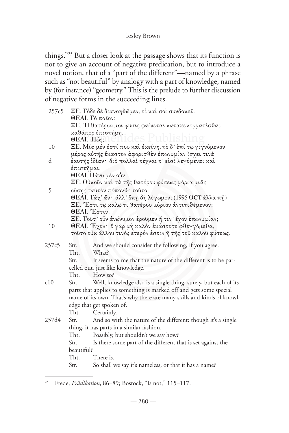Lesley Brown<br>
t a closer look at the passage shows that it<br>
n account of negative predication, but to<br>
, that of a "part of the different"—named<br>
beautiful" by analogy with a part of knowle<br>
ce) "geometry." This is the pr things."25 But a closer look at the passage shows that its function is not to give an account of negative predication, but to introduce a novel notion, that of a "part of the different"—named by a phrase such as "not beautiful" by analogy with a part of knowledge, named by (for instance) "geometry." This is the prelude to further discussion of negative forms in the succeeding lines.

| 257c5 |               | ΞΕ. Τόδε δὲ διανοηθῶμεν, εἰ καὶ σοὶ συνδοκεῖ.                                                            |  |
|-------|---------------|----------------------------------------------------------------------------------------------------------|--|
|       |               | ΘΕΑΙ. Τὸ ποῖον;                                                                                          |  |
|       |               | ΞΕ. Ή θατέρου μοι φύσις φαίνεται κατακεκερματίσθαι                                                       |  |
|       |               | καθάπερ ἐπιστήμη.                                                                                        |  |
|       | $Θ$ EAI. Πῶς; |                                                                                                          |  |
| 10    |               | ΞΕ. Μία μέν ἐστί που καὶ ἐκείνη, τὸ δ' ἐπί τῳ γιγνόμενον                                                 |  |
|       |               | μέρος αὐτῆς ἕκαστον ἀφορισθὲν ἐπωνυμίαν ἴσχει τινὰ                                                       |  |
| d     |               | έαυτής ἰδίαν· διὸ πολλαὶ τέχναι τ' εἰσὶ λεγόμεναι καὶ                                                    |  |
|       | ἐπιστῆμαι.    |                                                                                                          |  |
|       |               | ΘΕΑΙ. Πάνυ μὲν οὖν.                                                                                      |  |
|       |               | ΞΕ. Οὐκοῦν καὶ τὰ τῆς θατέρου φύσεως μόρια μιᾶς                                                          |  |
| 5     |               | ούσης ταύτον πέπονθε τούτο.                                                                              |  |
|       |               | ΘΕΑΙ. Τάχ' ἄν· ἀλλ' ὅπη δή λέγωμεν; (1995 ΟCT ἀλλά πῆ)                                                   |  |
|       |               | ΞΕ. "Εστι τῷ καλῷ τι θατέρου μόριον ἀντιτιθέμενον;                                                       |  |
|       |               | ΘΕΑΙ. Έστιν.                                                                                             |  |
| 10    |               | ΞΕ. Τοῦτ' οὖν ἀνώνυμον ἐροῦμεν ἤ τιν' ἔχον ἐπωνυμίαν;<br>ΘΕΑΙ. Έχον· ὃ γάρ μή καλὸν ἑκάστοτε φθεγγόμεθα, |  |
|       |               | τούτο οὐκ ἄλλου τινὸς ἕτερόν ἐστιν ἢ τῆς τοῦ καλοῦ φύσεως.                                               |  |
|       |               |                                                                                                          |  |
| 257c5 | Str.          | And we should consider the following, if you agree.                                                      |  |
|       | Tht.          | What?                                                                                                    |  |
|       | Str.          | It seems to me that the nature of the different is to be par-                                            |  |
|       |               | celled out, just like knowledge.                                                                         |  |
|       | Tht.          | How so?                                                                                                  |  |
| c10   | Str.          | Well, knowledge also is a single thing, surely, but each of its                                          |  |
|       |               | parts that applies to something is marked off and gets some special                                      |  |
|       |               | name of its own. That's why there are many skills and kinds of knowl-                                    |  |
|       |               | edge that get spoken of.                                                                                 |  |
|       | Tht.          | Certainly.                                                                                               |  |
| 257d4 | Str.          | And so with the nature of the different: though it's a single                                            |  |
|       |               | thing, it has parts in a similar fashion.                                                                |  |
|       | Tht.          | Possibly, but shouldn't we say how?                                                                      |  |
|       | Str.          | Is there some part of the different that is set against the                                              |  |
|       | beautiful?    |                                                                                                          |  |
|       | Tht.          | There is.                                                                                                |  |
|       | Str.          | So shall we say it's nameless, or that it has a name?                                                    |  |
|       |               |                                                                                                          |  |

<sup>25</sup> Frede, *Prädikation*, 86–89; Bostock, "Is not," 115–117.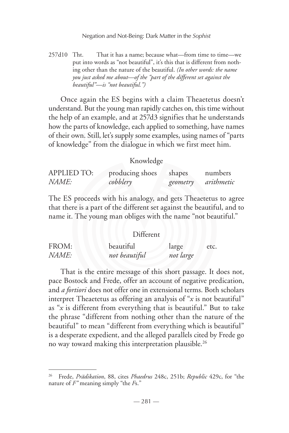257d10 Tht. That it has a name; because what—from time to time—we put into words as "not beautiful", it's this that is different from nothing other than the nature of the beautiful. *(In other words: the name you just asked me about—of the "part of the different set against the beautiful"—is "not beautiful.")*

Negation and Not-Being: Dark Matter in the *Sophist*<br>
. That it has a name; because what—from time<br>
into words as "not beautiful", it's this that is differen<br>
other than the nature of the beautiful. (In other word<br>
just as Once again the ES begins with a claim Theaetetus doesn't understand. But the young man rapidly catches on, this time without the help of an example, and at 257d3 signifies that he understands how the parts of knowledge, each applied to something, have names of their own. Still, let's supply some examples, using names of "parts of knowledge" from the dialogue in which we first meet him.

#### Knowledge

| <b>APPLIED TO:</b> | producing shoes | shapes   | numbers    |
|--------------------|-----------------|----------|------------|
| <i>NAME:</i>       | cobblery        | geometry | arithmetic |

The ES proceeds with his analogy, and gets Theaetetus to agree that there is a part of the different set against the beautiful, and to name it. The young man obliges with the name "not beautiful."

# Different

| FROM:        | beautiful     | large     | etc. |
|--------------|---------------|-----------|------|
| <i>NAME:</i> | not beautiful | not large |      |

That is the entire message of this short passage. It does not, pace Bostock and Frede, offer an account of negative predication, and *a fortiori* does not offer one in extensional terms. Both scholars interpret Theaetetus as offering an analysis of "*x* is not beautiful" as "*x* is different from everything that is beautiful." But to take the phrase "different from nothing other than the nature of the beautiful" to mean "different from everything which is beautiful" is a desperate expedient, and the alleged parallels cited by Frede go no way toward making this interpretation plausible.26

<sup>26</sup> Frede, *Prädikation*, 88, cites *Phaedrus* 248c, 251b; *Republic* 429c, for "the nature of *F"* meaning simply "the *F*s."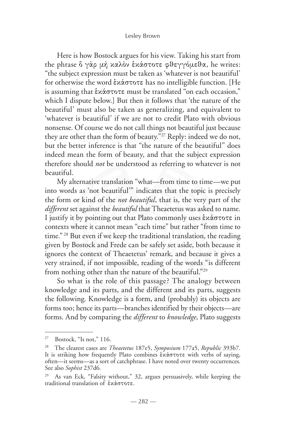Lesley Brown<br>
Lesley Brown<br>
Lesley Brown<br>
Lesley Brown<br>
Lesley Contains Contains Contains 2<br>
Expression must be taken as 'whatever is not<br>
the word ενάστοτε has no intelligible fu<br>
that ενάστοτε must be translated "on eac Here is how Bostock argues for his view. Taking his start from the phrase ὃ γὰρ μὴ καλὸν ἑκάστοτε φθεγγόμεθα, he writes: "the subject expression must be taken as 'whatever is not beautiful' for otherwise the word ἑκάστοτε has no intelligible function. [He is assuming that ἑκάστοτε must be translated "on each occasion," which I dispute below.] But then it follows that 'the nature of the beautiful' must also be taken as generalizing, and equivalent to 'whatever is beautiful' if we are not to credit Plato with obvious nonsense. Of course we do not call things not beautiful just because they are other than the form of beauty."27 Reply: indeed we do not, but the better inference is that "the nature of the beautiful" does indeed mean the form of beauty, and that the subject expression therefore should *not* be understood as referring to whatever is not beautiful.

My alternative translation "what—from time to time—we put into words as 'not beautiful'" indicates that the topic is precisely the form or kind of the *not beautiful*, that is, the very part of the *different* set against the *beautiful* that Theaetetus was asked to name. I justify it by pointing out that Plato commonly uses ἑκάστοτε in contexts where it cannot mean "each time" but rather "from time to time." 28 But even if we keep the traditional translation, the reading given by Bostock and Frede can be safely set aside, both because it ignores the context of Theaetetus' remark, and because it gives a very strained, if not impossible, reading of the words "is different from nothing other than the nature of the beautiful."29

So what is the role of this passage? The analogy between knowledge and its parts, and the different and its parts, suggests the following. Knowledge is a form, and (probably) its objects are forms too; hence its parts—branches identified by their objects—are forms. And by comparing the *different* to *knowledge*, Plato suggests

<sup>27</sup> Bostock, "Is not," 116.

<sup>28</sup> The clearest cases are *Theaetetus* 187e5, *Symposium* 177a5, *Republic* 393b7. It is striking how frequently Plato combines ἑκάστοτε with verbs of saying, often—it seems—as a sort of catchphrase. I have noted over twenty occurrences. See also *Sophist* 237d6*.*

As van Eck, "Falsity without," 32, argues persuasively, while keeping the traditional translation of ἑκάστοτε.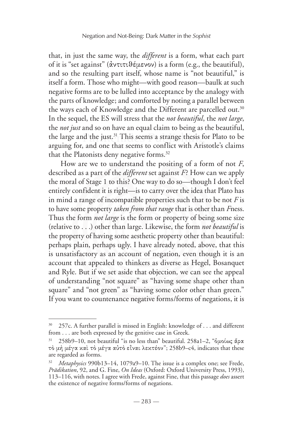Negation and Not-Being: Dark Matter in the *Sophist*<br>
t the same way, the *different* is a form, wha<br>
against" ( $\&vei\tau\tau\tau\theta\&e\mu\epsilon\nu\omega\nu$ ) is a form (e.g., the<br>
resulting part itself, whose name is "not bo<br>
i. Those who that, in just the same way, the *different* is a form, what each part of it is "set against" (ἀντιτιθέμενον) is a form (e.g., the beautiful), and so the resulting part itself, whose name is "not beautiful," is itself a form. Those who might—with good reason—baulk at such negative forms are to be lulled into acceptance by the analogy with the parts of knowledge; and comforted by noting a parallel between the ways each of Knowledge and the Different are parcelled out.<sup>30</sup> In the sequel, the ES will stress that the *not beautiful*, the *not large*, the *not just* and so on have an equal claim to being as the beautiful, the large and the just.<sup>31</sup> This seems a strange thesis for Plato to be arguing for, and one that seems to conflict with Aristotle's claims that the Platonists deny negative forms.<sup>32</sup>

How are we to understand the positing of a form of not *F*, described as a part of the *different* set against *F*? How can we apply the moral of Stage 1 to this? One way to do so—though I don't feel entirely confident it is right—is to carry over the idea that Plato has in mind a range of incompatible properties such that to be not *F* is to have some property *taken from that range* that is other than *F*ness. Thus the form *not large* is the form or property of being some size (relative to . . .) other than large. Likewise, the form *not beautiful* is the property of having some aesthetic property other than beautiful: perhaps plain, perhaps ugly. I have already noted, above, that this is unsatisfactory as an account of negation, even though it is an account that appealed to thinkers as diverse as Hegel, Bosanquet and Ryle. But if we set aside that objection, we can see the appeal of understanding "not square" as "having some shape other than square" and "not green" as "having some color other than green." If you want to countenance negative forms/forms of negations, it is

<sup>257</sup>c. A further parallel is missed in English: knowledge of  $\dots$  and different from . . . are both expressed by the genitive case in Greek.

 $258b9-10$ , not beautiful "is no less than" beautiful.  $258a1-2$ , "δμοίως άρα τὸ μὴ μέγα καὶ τὸ μέγα αὐτὸ εἶναι λεκτέον"; 258b9–c4, indicates that these are regarded as forms.

<sup>32</sup> *Metaphysics* 990b13–14, 1079a9–10. The issue is a complex one; see Frede, *Prädikation*, 92, and G. Fine, *On Ideas* (Oxford: Oxford University Press, 1993), 113–116, with notes. I agree with Frede, against Fine, that this passage *does* assert the existence of negative forms/forms of negations.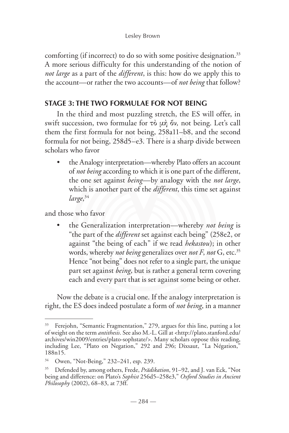comforting (if incorrect) to do so with some positive designation.<sup>33</sup> A more serious difficulty for this understanding of the notion of *not large* as a part of the *different*, is this: how do we apply this to the account—or rather the two accounts—of *not being* that follow?

### **STAGE 3: THE TWO FORMULAE FOR NOT BEING**

Lesley Brown<br>
if incorrect) to do so with some positive dends difficulty for this understanding of the<br>
part of the *different*, is this: how do we a<br>
-or rather the two accounts—of *not being*<br> **HE TWO FORMULAE FOR NOT B** In the third and most puzzling stretch, the ES will offer, in swift succession, two formulae for τὸ μὴ ὄν*,* not being. Let's call them the first formula for not being, 258a11–b8, and the second formula for not being, 258d5–e3. There is a sharp divide between scholars who favor

the Analogy interpretation—whereby Plato offers an account of *not being* according to which it is one part of the different, the one set against *being*—by analogy with the *not large*, which is another part of the *different*, this time set against *large*, 34

and those who favor

the Generalization interpretation—whereby *not being* is "the part of the *different* set against each being" (258e2, or against "the being of each" if we read *hekastou*); in other words, whereby *not being* generalizes over *not F*, *not* G, etc.35 Hence "not being" does not refer to a single part, the unique part set against *being*, but is rather a general term covering each and every part that is set against some being or other.

Now the debate is a crucial one. If the analogy interpretation is right, the ES does indeed postulate a form of *not being*, in a manner

<sup>&</sup>lt;sup>33</sup> Ferejohn, "Semantic Fragmentation," 279, argues for this line, putting a lot of weight on the term *antithesis*. See also M.-L. Gill at <http://plato.stanford.edu/ archives/win2009/entries/plato-sophstate/>. Many scholars oppose this reading, including Lee, "Plato on Negation," 292 and 296; Dixsaut, "La Négation," 188n15.

<sup>34</sup> Owen, "Not-Being," 232–241, esp. 239.

<sup>35</sup> Defended by, among others, Frede, *Prädikation*, 91–92, and J. van Eck, "Not being and difference: on Plato's *Sophist* 256d5–258e3," *Oxford Studies in Ancient Philosophy* (2002), 68–83, at 73ff.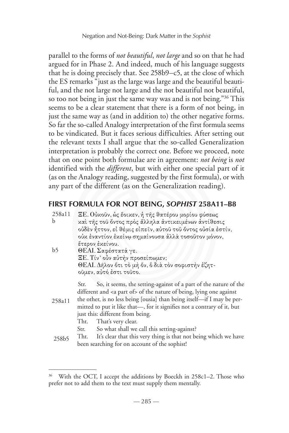Negation and Not-Being: Dark Matter in the *Sophist*<br>he forms of *not beautiful, not large* and so on<br>in Phase 2. And indeed, much of his langua<br>oing precisely that. See 258b9–c5, at the clo<br>arks "just as the large was lar parallel to the forms of *not beautiful*, *not large* and so on that he had argued for in Phase 2. And indeed, much of his language suggests that he is doing precisely that. See 258b9–c5, at the close of which the ES remarks "just as the large was large and the beautiful beautiful, and the not large not large and the not beautiful not beautiful, so too not being in just the same way was and is not being."36 This seems to be a clear statement that there is a form of not being, in just the same way as (and in addition to) the other negative forms. So far the so-called Analogy interpretation of the first formula seems to be vindicated. But it faces serious difficulties. After setting out the relevant texts I shall argue that the so-called Generalization interpretation is probably the correct one. Before we proceed, note that on one point both formulae are in agreement: *not being* is *not* identified with the *different*, but with either one special part of it (as on the Analogy reading, suggested by the first formula), or with any part of the different (as on the Generalization reading).

### **FIRST FORMULA FOR NOT BEING,** *SOPHIST* **258A11–B8**

| 258a11<br>$\mathbf b$ | ΕΕ. Ούκουν, ώς έοικεν, ή της θατέρου μορίου φύσεως<br>καί της του όντος πρός άλληλα αντικειμένων αντίθεσις                                                                                                                                                                                                                                                                        |
|-----------------------|-----------------------------------------------------------------------------------------------------------------------------------------------------------------------------------------------------------------------------------------------------------------------------------------------------------------------------------------------------------------------------------|
| b5                    | ούδεν ήττον, εί θέμις είπειν, αύτου του όντος ούσία έστίν,<br>ούκ έναντίον έκείνω σημαίνουσα άλλά τοσοῦτον μόνον,<br>έτερον έκείνου.<br>ΘΕΑΙ. Σαφέστατά γε.<br>ΕΕ. Τίν' ούν αύτήν προσείπωμεν;<br>ΘΕΑΙ. Δήλον ότι τὸ μὴ ὄν, ὃ διὰ τὸν σοφιστὴν ἐζητ-<br>ούμεν, αὐτό έστι τούτο.                                                                                                   |
| 258a11                | So, it seems, the setting-against of a part of the nature of the<br>Str.<br>different and <a of="" part=""> of the nature of being, lying one against<br/>the other, is no less being [ousia] than being itself-if I may be per-<br/>mitted to put it like that-, for it signifies not a contrary of it, but<br/>just this: different from being.<br/>Tht. That's very clear.</a> |
| 258b5                 | Str. So what shall we call this setting-against?<br>Tht. It's clear that this very thing is that not being which we have<br>been searching for on account of the sophist!                                                                                                                                                                                                         |

<sup>&</sup>lt;sup>36</sup> With the OCT, I accept the additions by Boeckh in 258c1–2. Those who prefer not to add them to the text must supply them mentally.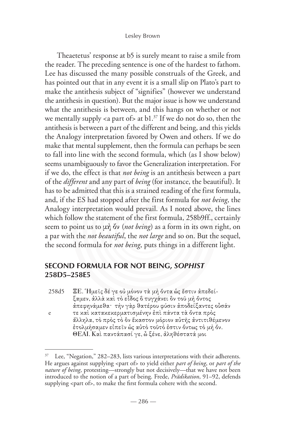Lesley Brown<br>
us' response at b5 is surely meant to raise :<br>
the preceding sentence is one of the hardes<br>
ussed the many possible construals of the<br>
but that in any event it is a small slip on P<br>
itihesis subject of "sign Theaetetus' response at b5 is surely meant to raise a smile from the reader. The preceding sentence is one of the hardest to fathom. Lee has discussed the many possible construals of the Greek, and has pointed out that in any event it is a small slip on Plato's part to make the antithesis subject of "signifies" (however we understand the antithesis in question). But the major issue is how we understand what the antithesis is between, and this hangs on whether or not we mentally supply <a part of> at b1.37 If we do not do so, then the antithesis is between a part of the different and being, and this yields the Analogy interpretation favored by Owen and others. If we do make that mental supplement, then the formula can perhaps be seen to fall into line with the second formula, which (as I show below) seems unambiguously to favor the Generalization interpretation. For if we do, the effect is that *not being* is an antithesis between a part of the *different* and any part of *being* (for instance, the beautiful). It has to be admitted that this is a strained reading of the first formula, and, if the ES had stopped after the first formula for *not being*, the Analogy interpretation would prevail. As I noted above, the lines which follow the statement of the first formula, 258b9ff., certainly seem to point us to μὴ ὄν (*not being*) as a form in its own right, on a par with the *not beautiful*, the *not large* and so on. But the sequel, the second formula for *not being*, puts things in a different light.

### **SECOND FORMULA FOR NOT BEING,** *SOPHIST* **258D5–258E5**

258d5 ΞΕ. Ἡμεῖς δέ γε οὐ μόνον τὰ μὴ ὄντα ὡς ἔστιν ἀπεδείξαμεν, ἀλλὰ καὶ τὸ εἶδος ὃ τυγχάνει ὂν τοῦ μὴ ὄντος ἀπεφηνάμεθα· τὴν γὰρ θατέρου φύσιν ἀποδείξαντες οὖσάν e τε καὶ κατακεκερματισμένην ἐπὶ πάντα τὰ ὄντα πρὸς ἄλληλα, τὸ πρὸς τὸ ὂν ἕκαστον μόριον αὐτῆς ἀντιτιθέμενον ἐτολμήσαμεν εἰπεῖν ὡς αὐτὸ τοῦτό ἐστιν ὄντως τὸ μὴ ὄν. ΘΕΑΙ. Καὶ παντάπασί γε, ὦ ξένε, ἀληθέστατά μοι

Lee, "Negation," 282–283, lists various interpretations with their adherents. He argues against supplying <part of> to yield either *part of being*, or *part of the nature of being*, protesting—strongly but not decisively—that we have not been introduced to the notion of a part of being. Frede, *Prädikation*, 91–92, defends supplying <part of>, to make the first formula cohere with the second.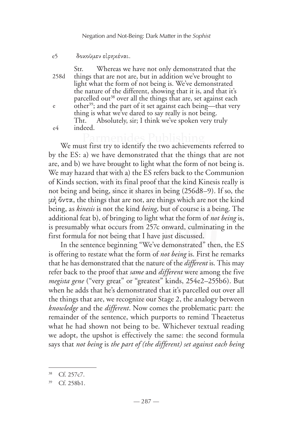#### e5 δοκοῦμεν εἰρηκέναι.

Negation and Not-Being: Dark Matter in the *Sophist*<br> **ExoDyLEV EXPINE ASSAUTE:**<br>
Whereas we have not only demonstrated<br>
rangs that are not are, but in addition we've brow<br>
the what the form of not being is. We've demonstr Str. Whereas we have not only demonstrated that the things that are not are, but in addition we've brought to light what the form of not being is. We've demonstrated the nature of the different, showing that it is, and that it's parcelled out<sup>38</sup> over all the things that are, set against each other<sup>39</sup>; and the part of it set against each being—that very thing is what we've dared to say really is not being. Tht. Absolutely, sir; I think we've spoken very truly indeed. 258d e e4

We must first try to identify the two achievements referred to by the ES: a) we have demonstrated that the things that are not are, and b) we have brought to light what the form of not being is. We may hazard that with a) the ES refers back to the Communion of Kinds section, with its final proof that the kind Kinesis really is not being and being, since it shares in being (256d8–9). If so, the μὴ ὄντα, the things that are not, are things which are not the kind being, as *kinesis* is not the kind *being*, but of course is a being. The additional feat b), of bringing to light what the form of *not being* is, is presumably what occurs from 257c onward, culminating in the first formula for not being that I have just discussed.

In the sentence beginning "We've demonstrated" then, the ES is offering to restate what the form of *not being* is. First he remarks that he has demonstrated that the nature of the *different* is. This may refer back to the proof that *same* and *different* were among the five *megista gene* ("very great" or "greatest" kinds, 254e2–255b6). But when he adds that he's demonstrated that it's parcelled out over all the things that are, we recognize our Stage 2, the analogy between *knowledge* and the *different*. Now comes the problematic part: the remainder of the sentence, which purports to remind Theaetetus what he had shown not being to be. Whichever textual reading we adopt, the upshot is effectively the same: the second formula says that *not being* is *the part of (the different) set against each being*

<sup>38</sup> Cf. 257c7.

<sup>39</sup> Cf. 258b1.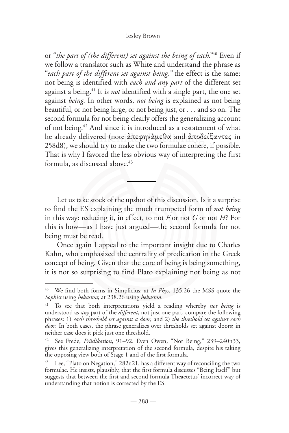Lesley Brown<br>
of (the different) set against the being of eac<br>
ranslator such as White and understand t<br>
identified with each and any part of the<br>
ng.<sup>41</sup> It is *not* identified with a single part<br>
z. In other words, *not* or "*the part of (the different) set against the being of each*."40 Even if we follow a translator such as White and understand the phrase as "*each part of the different set against being,"* the effect is the same: not being is identified with *each and any part* of the different set against a being.41 It is *not* identified with a single part, the one set against *being*. In other words, *not being* is explained as not being beautiful, or not being large, or not being just, or . . . and so on. The second formula for not being clearly offers the generalizing account of not being.42 And since it is introduced as a restatement of what he already delivered (note ἀπεφηνάμεθα and ἀποδείξαντες in 258d8), we should try to make the two formulae cohere, if possible. That is why I favored the less obvious way of interpreting the first formula, as discussed above.<sup>43</sup>

Let us take stock of the upshot of this discussion. Is it a surprise to find the ES explaining the much trumpeted form of *not being* in this way: reducing it, in effect, to not *F* or not *G* or not *H*? For this is how—as I have just argued—the second formula for not being must be read.

 $\overline{a}$ 

Once again I appeal to the important insight due to Charles Kahn, who emphasized the centrality of predication in the Greek concept of being. Given that the core of being is being something, it is not so surprising to find Plato explaining not being as not

<sup>40</sup> We find both forms in Simplicius: at *In Phys*. 135.26 the MSS quote the *Sophist* using *hekastou*; at 238.26 using *hekaston*.

<sup>41</sup> To see that both interpretations yield a reading whereby *not being* is understood as *any* part of the *different*, not just one part, compare the following phrases: 1) *each threshold set against a door*, and 2) *the threshold set against each door*. In both cases, the phrase generalizes over thresholds set against doors; in neither case does it pick just one threshold.

<sup>42</sup> See Frede, *Prädikation*, 91–92. Even Owen, "Not Being," 239–240n33, gives this generalizing interpretation of the second formula, despite his taking the opposing view both of Stage 1 and of the first formula.

<sup>43</sup> Lee, "Plato on Negation," 282n21, has a different way of reconciling the two formulae. He insists, plausibly, that the first formula discusses "Being Itself" but suggests that between the first and second formula Theaetetus' incorrect way of understanding that notion is corrected by the ES.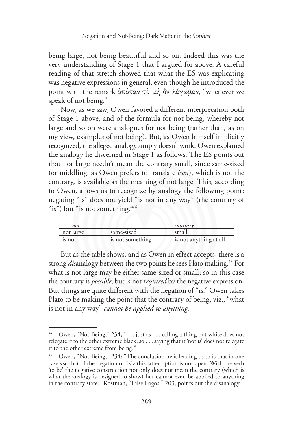Negation and Not-Being: Dark Matter in the *Sophist*<br>
., not being beautiful and so on. Indeed the<br>
standing of Stage 1 that I argued for above<br>
that stretch showed that what the ES was<br>
e expressions in general, even tho being large, not being beautiful and so on. Indeed this was the very understanding of Stage 1 that I argued for above. A careful reading of that stretch showed that what the ES was explicating was negative expressions in general, even though he introduced the point with the remark ὁπόταν τὸ μὴ ὂν λέγωμεν, "whenever we speak of not being."

Now, as we saw, Owen favored a different interpretation both of Stage 1 above, and of the formula for not being, whereby not large and so on were analogues for not being (rather than, as on my view, examples of not being). But, as Owen himself implicitly recognized, the alleged analogy simply doesn't work. Owen explained the analogy he discerned in Stage 1 as follows. The ES points out that not large needn't mean the contrary small, since same-sized (or middling, as Owen prefers to translate *ison*), which is not the contrary, is available as the meaning of not large. This, according to Owen, allows us to recognize by analogy the following point: negating "is" does not yield "is not in any way" (the contrary of "is") but "is not something."<sup>44</sup>

| $\ldots$ not $\ldots$ |                  | contrary               |
|-----------------------|------------------|------------------------|
| not large             | same-sized       | small                  |
| is not                | is not something | is not anything at all |

But as the table shows, and as Owen in effect accepts, there is a strong *dis*analogy between the two points he sees Plato making.<sup>45</sup> For what is not large may be either same-sized or small; so in this case the contrary is *possible*, but is not *required* by the negative expression. But things are quite different with the negation of "is." Owen takes Plato to be making the point that the contrary of being, viz., "what is not in any way" *cannot be applied to anything*.

<sup>&</sup>lt;sup>44</sup> Owen, "Not-Being," 234, "... just as ... calling a thing not white does not relegate it to the other extreme black, so . . . saying that it 'not is' does not relegate it to the other extreme from being."

<sup>45</sup> Owen, "Not-Being," 234: "The conclusion he is leading us to is that in one case <sc that of the negation of 'is'> this latter option is not open. With the verb 'to be' the negative construction not only does not mean the contrary (which is what the analogy is designed to show) but cannot even be applied to anything in the contrary state." Kostman, "False Logos," 203, points out the disanalogy.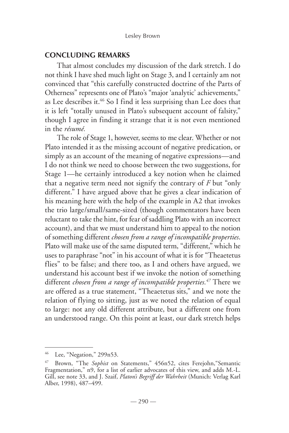### **CONCLUDING REMARKS**

Lesley Brown<br> **ING REMARKS**<br>
nost concludes my discussion of the dark<br>
ave shed much light on Stage 3, and I certa<br>
at "this carefully constructed doctrine of<br>
epresents one of Plato's "major 'analytic' acl<br>
bes it.<sup>46</sup> So That almost concludes my discussion of the dark stretch. I do not think I have shed much light on Stage 3, and I certainly am not convinced that "this carefully constructed doctrine of the Parts of Otherness" represents one of Plato's "major 'analytic' achievements," as Lee describes it.46 So I find it less surprising than Lee does that it is left "totally unused in Plato's subsequent account of falsity," though I agree in finding it strange that it is not even mentioned in the *résumé.* 

The role of Stage 1, however, seems to me clear. Whether or not Plato intended it as the missing account of negative predication, or simply as an account of the meaning of negative expressions—and I do not think we need to choose between the two suggestions, for Stage 1—he certainly introduced a key notion when he claimed that a negative term need not signify the contrary of *F* but "only different." I have argued above that he gives a clear indication of his meaning here with the help of the example in A2 that invokes the trio large/small/same-sized (though commentators have been reluctant to take the hint, for fear of saddling Plato with an incorrect account), and that we must understand him to appeal to the notion of something different *chosen from a range of incompatible properties*. Plato will make use of the same disputed term, "different," which he uses to paraphrase "not" in his account of what it is for "Theaetetus flies" to be false; and there too, as I and others have argued, we understand his account best if we invoke the notion of something different *chosen from a range of incompatible properties.47* There we are offered as a true statement, "Theaetetus sits," and we note the relation of flying to sitting, just as we noted the relation of equal to large: not any old different attribute, but a different one from an understood range. On this point at least, our dark stretch helps

<sup>46</sup> Lee, "Negation," 299n53.

<sup>47</sup> Brown, "The *Sophist* on Statements," 456n52, cites Ferejohn,"Semantic Fragmentation," n9, for a list of earlier advocates of this view, and adds M.-L. Gill, see note 33, and J. Szaif, *Platon's Begriff der Wahrheit* (Munich: Verlag Karl Alber, 1998), 487–499.